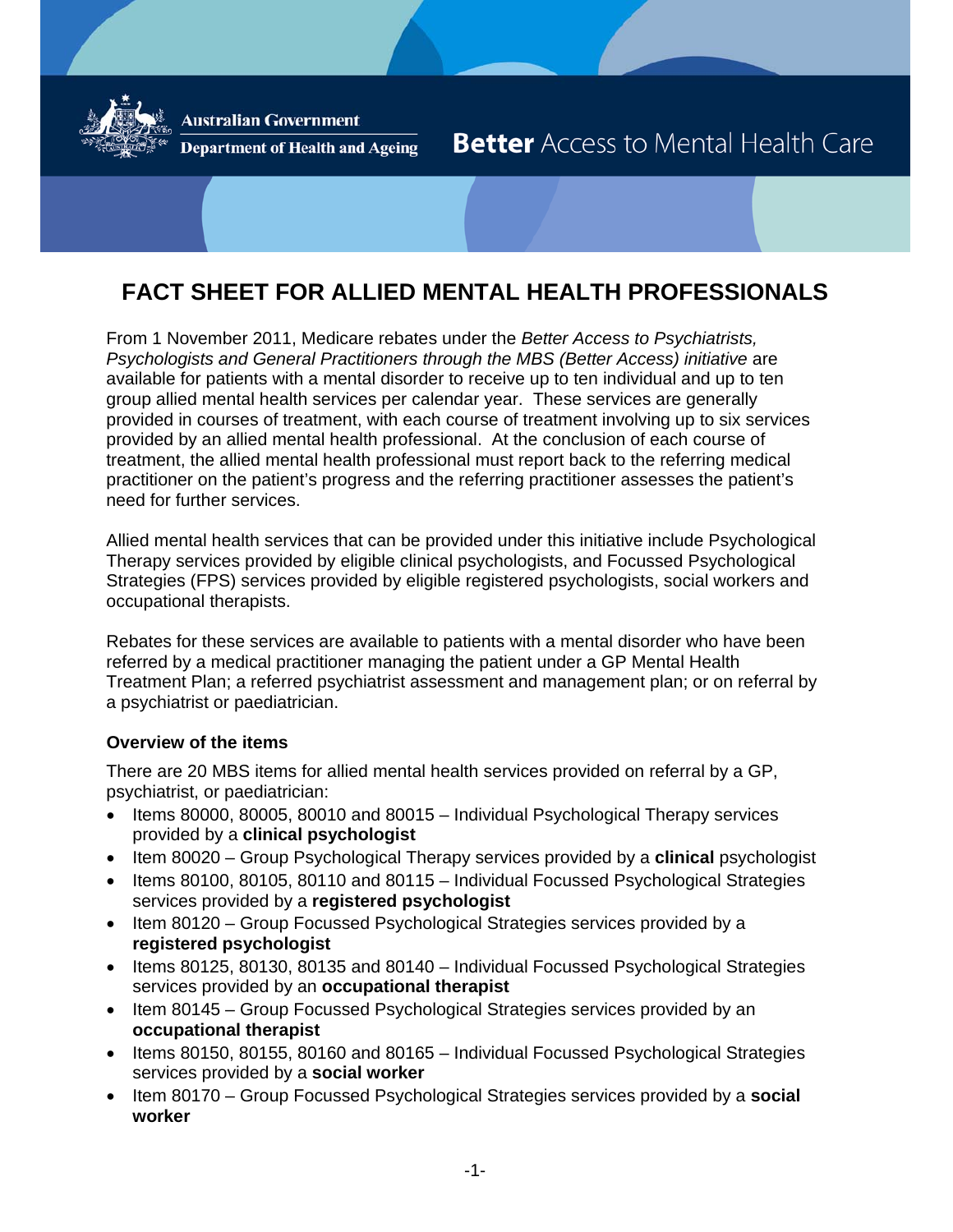

**Australian Government** 

**Department of Health and Ageing** 

# **Better** Access to Mental Health Care

# **FACT SHEET FOR ALLIED MENTAL HEALTH PROFESSIONALS**

From 1 November 2011, Medicare rebates under the *Better Access to Psychiatrists, Psychologists and General Practitioners through the MBS (Better Access) initiative* are available for patients with a mental disorder to receive up to ten individual and up to ten group allied mental health services per calendar year. These services are generally provided in courses of treatment, with each course of treatment involving up to six services provided by an allied mental health professional. At the conclusion of each course of treatment, the allied mental health professional must report back to the referring medical practitioner on the patient's progress and the referring practitioner assesses the patient's need for further services.

Allied mental health services that can be provided under this initiative include Psychological Therapy services provided by eligible clinical psychologists, and Focussed Psychological Strategies (FPS) services provided by eligible registered psychologists, social workers and occupational therapists.

Rebates for these services are available to patients with a mental disorder who have been referred by a medical practitioner managing the patient under a GP Mental Health Treatment Plan; a referred psychiatrist assessment and management plan; or on referral by a psychiatrist or paediatrician.

#### **Overview of the items**

There are 20 MBS items for allied mental health services provided on referral by a GP, psychiatrist, or paediatrician:

- Items 80000, 80005, 80010 and 80015 Individual Psychological Therapy services provided by a **clinical psychologist**
- Item 80020 Group Psychological Therapy services provided by a **clinical** psychologist
- Items 80100, 80105, 80110 and 80115 Individual Focussed Psychological Strategies services provided by a **registered psychologist**
- Item 80120 Group Focussed Psychological Strategies services provided by a **registered psychologist**
- Items 80125, 80130, 80135 and 80140 Individual Focussed Psychological Strategies services provided by an **occupational therapist**
- Item 80145 Group Focussed Psychological Strategies services provided by an **occupational therapist**
- Items 80150, 80155, 80160 and 80165 Individual Focussed Psychological Strategies services provided by a **social worker**
- Item 80170 Group Focussed Psychological Strategies services provided by a **social worker**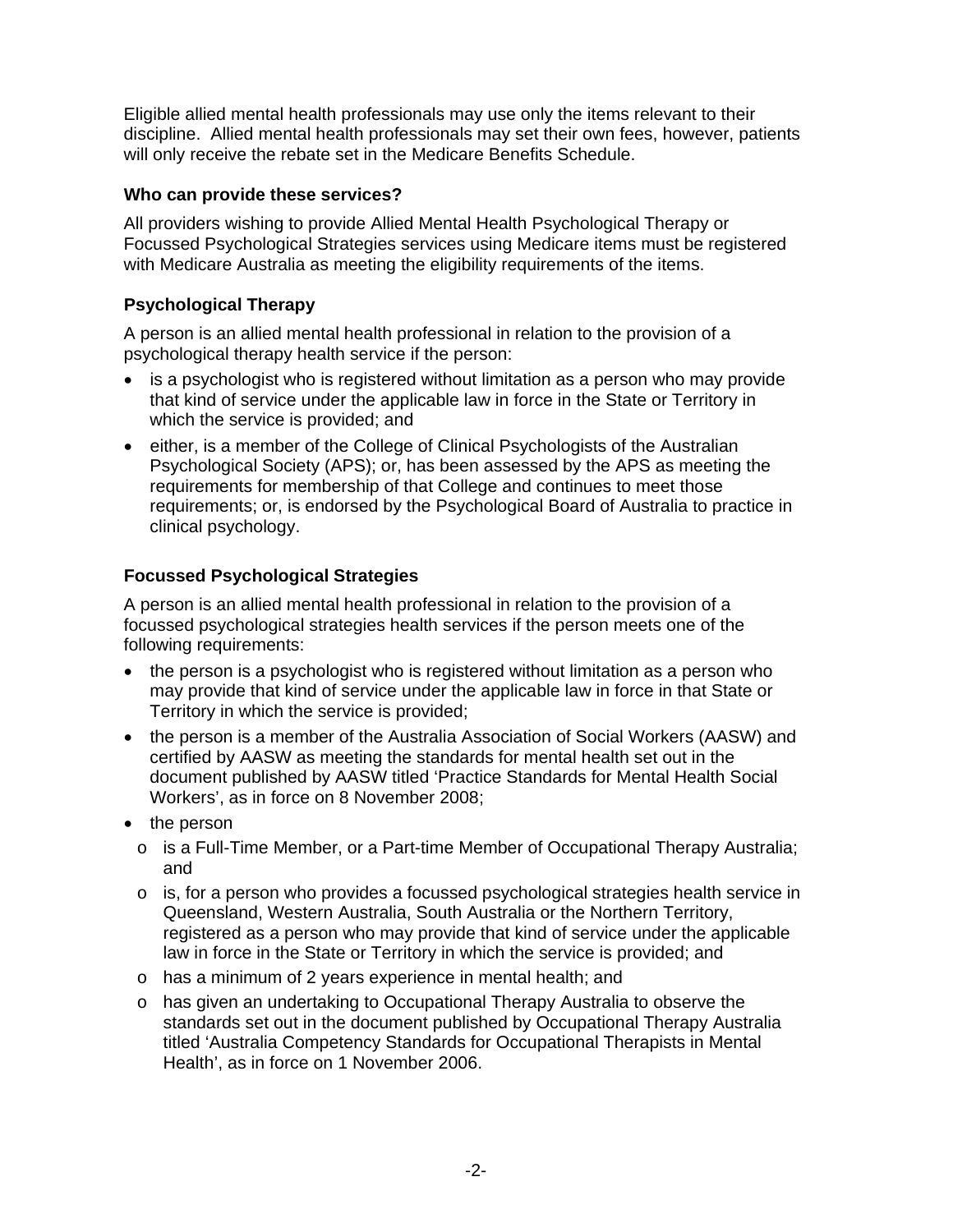Eligible allied mental health professionals may use only the items relevant to their discipline. Allied mental health professionals may set their own fees, however, patients will only receive the rebate set in the Medicare Benefits Schedule.

### **Who can provide these services?**

All providers wishing to provide Allied Mental Health Psychological Therapy or Focussed Psychological Strategies services using Medicare items must be registered with Medicare Australia as meeting the eligibility requirements of the items.

## **Psychological Therapy**

A person is an allied mental health professional in relation to the provision of a psychological therapy health service if the person:

- is a psychologist who is registered without limitation as a person who may provide that kind of service under the applicable law in force in the State or Territory in which the service is provided; and
- either, is a member of the College of Clinical Psychologists of the Australian Psychological Society (APS); or, has been assessed by the APS as meeting the requirements for membership of that College and continues to meet those requirements; or, is endorsed by the Psychological Board of Australia to practice in clinical psychology.

## **Focussed Psychological Strategies**

A person is an allied mental health professional in relation to the provision of a focussed psychological strategies health services if the person meets one of the following requirements:

- the person is a psychologist who is registered without limitation as a person who may provide that kind of service under the applicable law in force in that State or Territory in which the service is provided;
- the person is a member of the Australia Association of Social Workers (AASW) and certified by AASW as meeting the standards for mental health set out in the document published by AASW titled 'Practice Standards for Mental Health Social Workers', as in force on 8 November 2008;
- the person
	- o is a Full-Time Member, or a Part-time Member of Occupational Therapy Australia; and
	- $\circ$  is, for a person who provides a focussed psychological strategies health service in Queensland, Western Australia, South Australia or the Northern Territory, registered as a person who may provide that kind of service under the applicable law in force in the State or Territory in which the service is provided; and
	- o has a minimum of 2 years experience in mental health; and
	- o has given an undertaking to Occupational Therapy Australia to observe the standards set out in the document published by Occupational Therapy Australia titled 'Australia Competency Standards for Occupational Therapists in Mental Health', as in force on 1 November 2006.